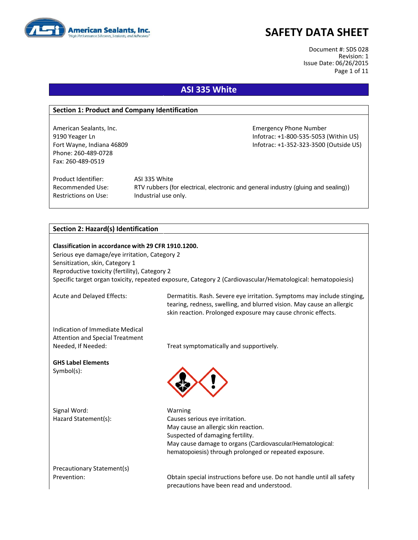

Document #: SDS 028 Revision: 1 Issue Date: 06/26/2015 Page 1 of 11

### **ASI 335 White**

#### **Section 1: Product and Company Identification**

American Sealants, Inc. **Emergency Phone Number** Emergency Phone Number Phone: 260-489-0728 Fax: 260-489-0519

9190 Yeager Ln Infotrac: +1-800-535-5053 (Within US) Fort Wayne, Indiana 46809 **Information Controller Mayne, Information Controller Controller Controller Controller** 

Product Identifier: ASI 335 White Restrictions on Use: Industrial use only.

Recommended Use: RTV rubbers (for electrical, electronic and general industry (gluing and sealing))

#### **Section 2: Hazard(s) Identification**

**Classification in accordance with 29 CFR 1910.1200.** Serious eye damage/eye irritation, Category 2 Sensitization, skin, Category 1 Reproductive toxicity (fertility), Category 2 Specific target organ toxicity, repeated exposure, Category 2 (Cardiovascular/Hematological: hematopoiesis)

Acute and Delayed Effects: Dermatitis. Rash. Severe eye irritation. Symptoms may include stinging, tearing, redness, swelling, and blurred vision. May cause an allergic skin reaction. Prolonged exposure may cause chronic effects.

Indication of Immediate Medical Attention and Special Treatment

**GHS Label Elements** Symbol(s):

Signal Word: Warning

Needed, If Needed: Treat symptomatically and supportively.



Hazard Statement(s): Causes serious eye irritation. May cause an allergic skin reaction. Suspected of damaging fertility. May cause damage to organs (Cardiovascular/Hematological: hematopoiesis) through prolonged or repeated exposure.

Precautionary Statement(s)

Prevention: Obtain special instructions before use. Do not handle until all safety precautions have been read and understood.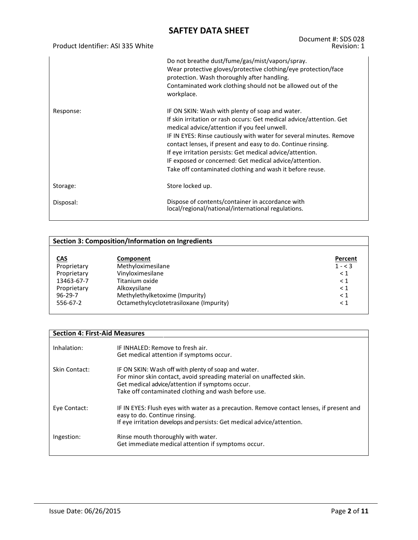| Product Identifier: ASI 335 White | Document #: SDS 028<br>Revision: 1                                                                                                                                                                                                                                                                                                                                                                                                                                                                |
|-----------------------------------|---------------------------------------------------------------------------------------------------------------------------------------------------------------------------------------------------------------------------------------------------------------------------------------------------------------------------------------------------------------------------------------------------------------------------------------------------------------------------------------------------|
|                                   | Do not breathe dust/fume/gas/mist/vapors/spray.<br>Wear protective gloves/protective clothing/eye protection/face<br>protection. Wash thoroughly after handling.<br>Contaminated work clothing should not be allowed out of the<br>workplace.                                                                                                                                                                                                                                                     |
| Response:                         | IF ON SKIN: Wash with plenty of soap and water.<br>If skin irritation or rash occurs: Get medical advice/attention. Get<br>medical advice/attention if you feel unwell.<br>IF IN EYES: Rinse cautiously with water for several minutes. Remove<br>contact lenses, if present and easy to do. Continue rinsing.<br>If eye irritation persists: Get medical advice/attention.<br>IF exposed or concerned: Get medical advice/attention.<br>Take off contaminated clothing and wash it before reuse. |
| Storage:                          | Store locked up.                                                                                                                                                                                                                                                                                                                                                                                                                                                                                  |
| Disposal:                         | Dispose of contents/container in accordance with<br>local/regional/national/international regulations.                                                                                                                                                                                                                                                                                                                                                                                            |

|               | <b>Section 3: Composition/Information on Ingredients</b> |          |  |  |
|---------------|----------------------------------------------------------|----------|--|--|
|               |                                                          |          |  |  |
| <b>CAS</b>    | Component                                                | Percent  |  |  |
| Proprietary   | Methyloximesilane                                        | $1 - 3$  |  |  |
| Proprietary   | Vinyloximesilane                                         | $\leq 1$ |  |  |
| 13463-67-7    | Titanium oxide                                           | $\leq 1$ |  |  |
| Proprietary   | Alkoxysilane                                             | $\leq 1$ |  |  |
| $96 - 29 - 7$ | Methylethylketoxime (Impurity)                           | $\leq 1$ |  |  |
| 556-67-2      | Octamethylcyclotetrasiloxane (Impurity)                  | $\leq 1$ |  |  |
|               |                                                          |          |  |  |

| <b>Section 4: First-Aid Measures</b> |                                                                                                                                                                                                                                       |
|--------------------------------------|---------------------------------------------------------------------------------------------------------------------------------------------------------------------------------------------------------------------------------------|
| Inhalation:                          | IF INHALED: Remove to fresh air.<br>Get medical attention if symptoms occur.                                                                                                                                                          |
| Skin Contact:                        | IF ON SKIN: Wash off with plenty of soap and water.<br>For minor skin contact, avoid spreading material on unaffected skin.<br>Get medical advice/attention if symptoms occur.<br>Take off contaminated clothing and wash before use. |
| Eye Contact:                         | IF IN EYES: Flush eyes with water as a precaution. Remove contact lenses, if present and<br>easy to do. Continue rinsing.<br>If eye irritation develops and persists: Get medical advice/attention.                                   |
| Ingestion:                           | Rinse mouth thoroughly with water.<br>Get immediate medical attention if symptoms occur.                                                                                                                                              |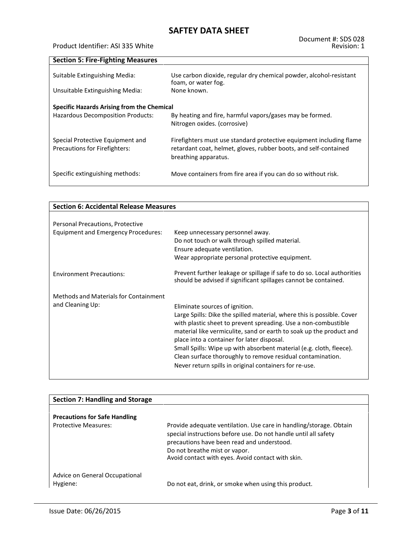#### Product Identifier: ASI 335 White

| <b>Section 5: Fire-Fighting Measures</b>                          |                                                                                                                                                                 |
|-------------------------------------------------------------------|-----------------------------------------------------------------------------------------------------------------------------------------------------------------|
| Suitable Extinguishing Media:                                     | Use carbon dioxide, regular dry chemical powder, alcohol-resistant<br>foam, or water fog.                                                                       |
| Unsuitable Extinguishing Media:                                   | None known.                                                                                                                                                     |
| Specific Hazards Arising from the Chemical                        |                                                                                                                                                                 |
| <b>Hazardous Decomposition Products:</b>                          | By heating and fire, harmful vapors/gases may be formed.<br>Nitrogen oxides. (corrosive)                                                                        |
| Special Protective Equipment and<br>Precautions for Firefighters: | Firefighters must use standard protective equipment including flame<br>retardant coat, helmet, gloves, rubber boots, and self-contained<br>breathing apparatus. |
| Specific extinguishing methods:                                   | Move containers from fire area if you can do so without risk.                                                                                                   |

| <b>Section 6: Accidental Release Measures</b>             |                                                                                                                                                                                                                                                                                                                                                                                                                                                                                                |  |
|-----------------------------------------------------------|------------------------------------------------------------------------------------------------------------------------------------------------------------------------------------------------------------------------------------------------------------------------------------------------------------------------------------------------------------------------------------------------------------------------------------------------------------------------------------------------|--|
|                                                           |                                                                                                                                                                                                                                                                                                                                                                                                                                                                                                |  |
| Personal Precautions, Protective                          |                                                                                                                                                                                                                                                                                                                                                                                                                                                                                                |  |
| Equipment and Emergency Procedures:                       | Keep unnecessary personnel away.<br>Do not touch or walk through spilled material.<br>Ensure adequate ventilation.<br>Wear appropriate personal protective equipment.                                                                                                                                                                                                                                                                                                                          |  |
| <b>Environment Precautions:</b>                           | Prevent further leakage or spillage if safe to do so. Local authorities<br>should be advised if significant spillages cannot be contained.                                                                                                                                                                                                                                                                                                                                                     |  |
| Methods and Materials for Containment<br>and Cleaning Up: | Eliminate sources of ignition.<br>Large Spills: Dike the spilled material, where this is possible. Cover<br>with plastic sheet to prevent spreading. Use a non-combustible<br>material like vermiculite, sand or earth to soak up the product and<br>place into a container for later disposal.<br>Small Spills: Wipe up with absorbent material (e.g. cloth, fleece).<br>Clean surface thoroughly to remove residual contamination.<br>Never return spills in original containers for re-use. |  |

| <b>Section 7: Handling and Storage</b>     |                                                                                                                                                                                                                                                                           |
|--------------------------------------------|---------------------------------------------------------------------------------------------------------------------------------------------------------------------------------------------------------------------------------------------------------------------------|
|                                            |                                                                                                                                                                                                                                                                           |
| <b>Precautions for Safe Handling</b>       |                                                                                                                                                                                                                                                                           |
| <b>Protective Measures:</b>                | Provide adequate ventilation. Use care in handling/storage. Obtain<br>special instructions before use. Do not handle until all safety<br>precautions have been read and understood.<br>Do not breathe mist or vapor.<br>Avoid contact with eyes. Avoid contact with skin. |
| Advice on General Occupational<br>Hygiene: | Do not eat, drink, or smoke when using this product.                                                                                                                                                                                                                      |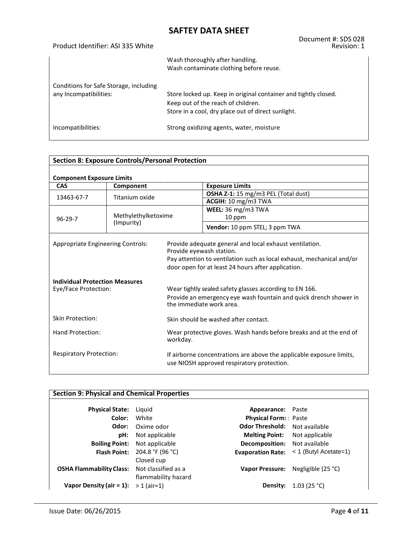| Product Identifier: ASI 335 White                                | Document #: SDS 028<br>Revision: 1                                                                                                                          |
|------------------------------------------------------------------|-------------------------------------------------------------------------------------------------------------------------------------------------------------|
|                                                                  | Wash thoroughly after handling.<br>Wash contaminate clothing before reuse.                                                                                  |
| Conditions for Safe Storage, including<br>any Incompatibilities: | Store locked up. Keep in original container and tightly closed.<br>Keep out of the reach of children.<br>Store in a cool, dry place out of direct sunlight. |
| Incompatibilities:                                               | Strong oxidizing agents, water, moisture                                                                                                                    |

| <b>Section 8: Exposure Controls/Personal Protection</b>       |                                   |                                                                                                                                                          |                                                                                                                                                                                                                    |  |
|---------------------------------------------------------------|-----------------------------------|----------------------------------------------------------------------------------------------------------------------------------------------------------|--------------------------------------------------------------------------------------------------------------------------------------------------------------------------------------------------------------------|--|
| <b>Component Exposure Limits</b>                              |                                   |                                                                                                                                                          |                                                                                                                                                                                                                    |  |
| <b>CAS</b>                                                    | Component                         |                                                                                                                                                          | <b>Exposure Limits</b>                                                                                                                                                                                             |  |
| Titanium oxide<br>13463-67-7                                  |                                   |                                                                                                                                                          | OSHA Z-1: 15 mg/m3 PEL (Total dust)                                                                                                                                                                                |  |
|                                                               |                                   |                                                                                                                                                          | ACGIH: 10 mg/m3 TWA                                                                                                                                                                                                |  |
|                                                               |                                   |                                                                                                                                                          | WEEL: 36 mg/m3 TWA                                                                                                                                                                                                 |  |
| $96 - 29 - 7$                                                 | Methylethylketoxime<br>(Impurity) |                                                                                                                                                          | 10 ppm                                                                                                                                                                                                             |  |
|                                                               |                                   |                                                                                                                                                          | Vendor: 10 ppm STEL; 3 ppm TWA                                                                                                                                                                                     |  |
| Appropriate Engineering Controls:                             |                                   |                                                                                                                                                          | Provide adequate general and local exhaust ventilation.<br>Provide eyewash station.<br>Pay attention to ventilation such as local exhaust, mechanical and/or<br>door open for at least 24 hours after application. |  |
| <b>Individual Protection Measures</b><br>Eye/Face Protection: |                                   | Wear tightly sealed safety glasses according to EN 166.<br>Provide an emergency eye wash fountain and quick drench shower in<br>the immediate work area. |                                                                                                                                                                                                                    |  |
| <b>Skin Protection:</b>                                       |                                   | Skin should be washed after contact.                                                                                                                     |                                                                                                                                                                                                                    |  |
| Hand Protection:<br>workday.                                  |                                   |                                                                                                                                                          | Wear protective gloves. Wash hands before breaks and at the end of                                                                                                                                                 |  |
| <b>Respiratory Protection:</b>                                |                                   |                                                                                                                                                          | If airborne concentrations are above the applicable exposure limits,<br>use NIOSH approved respiratory protection.                                                                                                 |  |

| <b>Section 9: Physical and Chemical Properties</b> |                                                          |                                      |                         |  |
|----------------------------------------------------|----------------------------------------------------------|--------------------------------------|-------------------------|--|
| <b>Physical State:</b>                             | Liguid                                                   | Appearance: Paste                    |                         |  |
| Color:                                             | White                                                    | <b>Physical Form:</b> Paste          |                         |  |
| Odor:                                              | Oxime odor                                               | <b>Odor Threshold:</b>               | Not available           |  |
| pH:                                                | Not applicable                                           | <b>Melting Point:</b> Not applicable |                         |  |
| <b>Boiling Point:</b>                              | Not applicable                                           | <b>Decomposition:</b> Not available  |                         |  |
| <b>Flash Point:</b>                                | 204.8 °F (96 °C)                                         | <b>Evaporation Rate:</b>             | $<$ 1 (Butyl Acetate=1) |  |
| <b>OSHA Flammability Class:</b>                    | Closed cup<br>Not classified as a<br>flammability hazard | <b>Vapor Pressure:</b>               | Negligible (25 °C)      |  |
| Vapor Density (air $= 1$ ):                        | $> 1$ (air=1)                                            | Density:                             | 1.03 (25 °C)            |  |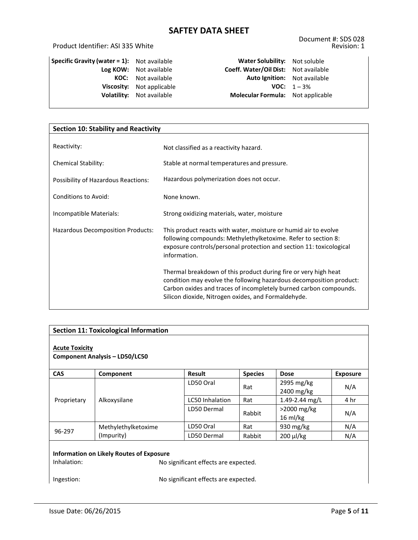### Product Identifier: ASI 335 White

| Specific Gravity (water $= 1$ ): | Not available  |  |
|----------------------------------|----------------|--|
| Log KOW:                         | Not available  |  |
| KOC:                             | Not available  |  |
| Viscosity:                       | Not applicable |  |
| <b>Volatility:</b>               | Not available  |  |
|                                  |                |  |

**Water Solubility:** Not soluble **Log KOW:** Not available **Coeff. Water/Oil Dist:** Not available **Auto Ignition:** Not available **VOC:**  $1 - 3\%$ **Molecular Formula:** Not applicable

| <b>Section 10: Stability and Reactivity</b> |                                                                                                                                                                                                                                                                    |  |  |
|---------------------------------------------|--------------------------------------------------------------------------------------------------------------------------------------------------------------------------------------------------------------------------------------------------------------------|--|--|
| Reactivity:                                 | Not classified as a reactivity hazard.                                                                                                                                                                                                                             |  |  |
|                                             |                                                                                                                                                                                                                                                                    |  |  |
| <b>Chemical Stability:</b>                  | Stable at normal temperatures and pressure.                                                                                                                                                                                                                        |  |  |
| Possibility of Hazardous Reactions:         | Hazardous polymerization does not occur.                                                                                                                                                                                                                           |  |  |
| <b>Conditions to Avoid:</b>                 | None known.                                                                                                                                                                                                                                                        |  |  |
| Incompatible Materials:                     | Strong oxidizing materials, water, moisture                                                                                                                                                                                                                        |  |  |
| Hazardous Decomposition Products:           | This product reacts with water, moisture or humid air to evolve<br>following compounds: Methylethylketoxime. Refer to section 8:<br>exposure controls/personal protection and section 11: toxicological<br>information.                                            |  |  |
|                                             | Thermal breakdown of this product during fire or very high heat<br>condition may evolve the following hazardous decomposition product:<br>Carbon oxides and traces of incompletely burned carbon compounds.<br>Silicon dioxide, Nitrogen oxides, and Formaldehyde. |  |  |

| <b>Section 11: Toxicological Information</b>                                                                                                          |                                       |                        |                |                                      |                 |
|-------------------------------------------------------------------------------------------------------------------------------------------------------|---------------------------------------|------------------------|----------------|--------------------------------------|-----------------|
| <b>Acute Toxicity</b>                                                                                                                                 | <b>Component Analysis - LD50/LC50</b> |                        |                |                                      |                 |
| <b>CAS</b>                                                                                                                                            | Component                             | <b>Result</b>          | <b>Species</b> | <b>Dose</b>                          | <b>Exposure</b> |
|                                                                                                                                                       | Alkoxysilane                          | LD50 Oral              | Rat            | 2995 mg/kg<br>2400 mg/kg             | N/A             |
| Proprietary                                                                                                                                           |                                       | <b>LC50 Inhalation</b> | Rat            | 1.49-2.44 mg/L                       | 4 hr            |
|                                                                                                                                                       |                                       | LD50 Dermal            | Rabbit         | $>$ 2000 mg/kg<br>$16 \text{ ml/kg}$ | N/A             |
|                                                                                                                                                       | Methylethylketoxime                   | LD50 Oral              | Rat            | 930 mg/kg                            | N/A             |
| 96-297<br>(Impurity)                                                                                                                                  |                                       | LD50 Dermal            | Rabbit         | 200 µl/kg                            | N/A             |
| Information on Likely Routes of Exposure<br>Inhalation:<br>No significant effects are expected.<br>No significant effects are expected.<br>Ingestion: |                                       |                        |                |                                      |                 |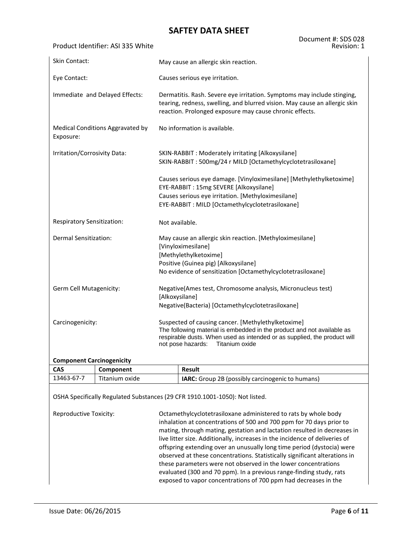Product Identifier: ASI 335 White

| <b>Skin Contact:</b>             |                                  | May cause an allergic skin reaction.                                                                                                                                                                                                            |  |  |  |  |  |
|----------------------------------|----------------------------------|-------------------------------------------------------------------------------------------------------------------------------------------------------------------------------------------------------------------------------------------------|--|--|--|--|--|
| Eye Contact:                     |                                  | Causes serious eye irritation.                                                                                                                                                                                                                  |  |  |  |  |  |
|                                  | Immediate and Delayed Effects:   | Dermatitis. Rash. Severe eye irritation. Symptoms may include stinging,<br>tearing, redness, swelling, and blurred vision. May cause an allergic skin<br>reaction. Prolonged exposure may cause chronic effects.                                |  |  |  |  |  |
| Exposure:                        | Medical Conditions Aggravated by | No information is available.                                                                                                                                                                                                                    |  |  |  |  |  |
| Irritation/Corrosivity Data:     |                                  | SKIN-RABBIT: Moderately irritating [Alkoxysilane]<br>SKIN-RABBIT: 500mg/24 r MILD [Octamethylcyclotetrasiloxane]                                                                                                                                |  |  |  |  |  |
|                                  |                                  | Causes serious eye damage. [Vinyloximesilane] [Methylethylketoxime]<br>EYE-RABBIT: 15mg SEVERE [Alkoxysilane]<br>Causes serious eye irritation. [Methyloximesilane]<br>EYE-RABBIT: MILD [Octamethylcyclotetrasiloxane]                          |  |  |  |  |  |
| Respiratory Sensitization:       |                                  | Not available.                                                                                                                                                                                                                                  |  |  |  |  |  |
| Dermal Sensitization:            |                                  | May cause an allergic skin reaction. [Methyloximesilane]<br>[Vinyloximesilane]<br>[Methylethylketoxime]<br>Positive (Guinea pig) [Alkoxysilane]<br>No evidence of sensitization [Octamethylcyclotetrasiloxane]                                  |  |  |  |  |  |
| Germ Cell Mutagenicity:          |                                  | Negative(Ames test, Chromosome analysis, Micronucleus test)<br>[Alkoxysilane]<br>Negative(Bacteria) [Octamethylcyclotetrasiloxane]                                                                                                              |  |  |  |  |  |
| Carcinogenicity:                 |                                  | Suspected of causing cancer. [Methylethylketoxime]<br>The following material is embedded in the product and not available as<br>respirable dusts. When used as intended or as supplied, the product will<br>Titanium oxide<br>not pose hazards: |  |  |  |  |  |
| <b>Component Carcinogenicity</b> |                                  |                                                                                                                                                                                                                                                 |  |  |  |  |  |
| <b>CAS</b>                       | Component                        | <b>Result</b>                                                                                                                                                                                                                                   |  |  |  |  |  |
| 13463-67-7                       | Titanium oxide                   | IARC: Group 2B (possibly carcinogenic to humans)                                                                                                                                                                                                |  |  |  |  |  |
|                                  |                                  | OSHA Specifically Regulated Substances (29 CFR 1910.1001-1050): Not listed.                                                                                                                                                                     |  |  |  |  |  |
| Reproductive Toxicity:           |                                  | Octamethylcyclotetrasiloxane administered to rats by whole body<br>inhalation at concentrations of 500 and 700 npm for 70 days prior to                                                                                                         |  |  |  |  |  |

inhalation at concentrations of 500 and 700 ppm for 70 days prior to mating, through mating, gestation and lactation resulted in decreases in live litter size. Additionally, increases in the incidence of deliveries of offspring extending over an unusually long time period (dystocia) were observed at these concentrations. Statistically significant alterations in these parameters were not observed in the lower concentrations evaluated (300 and 70 ppm). In a previous range-finding study, rats exposed to vapor concentrations of 700 ppm had decreases in the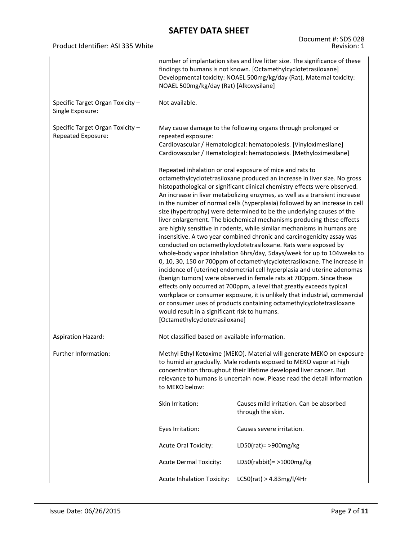|                                                        |                                                                                                                                                                                                                                                                                                                                                                                                                                                                                                                                                                                                                                                                                                                                                                                                                                                                                                                                                                                                                                                                                                                                                                                                                                                                                                                                                                                         | Document #: SDS 028                                                                                                                                                                                      |  |  |  |  |
|--------------------------------------------------------|-----------------------------------------------------------------------------------------------------------------------------------------------------------------------------------------------------------------------------------------------------------------------------------------------------------------------------------------------------------------------------------------------------------------------------------------------------------------------------------------------------------------------------------------------------------------------------------------------------------------------------------------------------------------------------------------------------------------------------------------------------------------------------------------------------------------------------------------------------------------------------------------------------------------------------------------------------------------------------------------------------------------------------------------------------------------------------------------------------------------------------------------------------------------------------------------------------------------------------------------------------------------------------------------------------------------------------------------------------------------------------------------|----------------------------------------------------------------------------------------------------------------------------------------------------------------------------------------------------------|--|--|--|--|
| Product Identifier: ASI 335 White                      |                                                                                                                                                                                                                                                                                                                                                                                                                                                                                                                                                                                                                                                                                                                                                                                                                                                                                                                                                                                                                                                                                                                                                                                                                                                                                                                                                                                         | Revision: 1                                                                                                                                                                                              |  |  |  |  |
|                                                        | number of implantation sites and live litter size. The significance of these<br>findings to humans is not known. [Octamethylcyclotetrasiloxane]<br>Developmental toxicity: NOAEL 500mg/kg/day (Rat), Maternal toxicity:<br>NOAEL 500mg/kg/day (Rat) [Alkoxysilane]                                                                                                                                                                                                                                                                                                                                                                                                                                                                                                                                                                                                                                                                                                                                                                                                                                                                                                                                                                                                                                                                                                                      |                                                                                                                                                                                                          |  |  |  |  |
| Specific Target Organ Toxicity -<br>Single Exposure:   | Not available.                                                                                                                                                                                                                                                                                                                                                                                                                                                                                                                                                                                                                                                                                                                                                                                                                                                                                                                                                                                                                                                                                                                                                                                                                                                                                                                                                                          |                                                                                                                                                                                                          |  |  |  |  |
| Specific Target Organ Toxicity -<br>Repeated Exposure: | repeated exposure:                                                                                                                                                                                                                                                                                                                                                                                                                                                                                                                                                                                                                                                                                                                                                                                                                                                                                                                                                                                                                                                                                                                                                                                                                                                                                                                                                                      | May cause damage to the following organs through prolonged or<br>Cardiovascular / Hematological: hematopoiesis. [Vinyloximesilane]<br>Cardiovascular / Hematological: hematopoiesis. [Methyloximesilane] |  |  |  |  |
|                                                        | Repeated inhalation or oral exposure of mice and rats to<br>octamethylcyclotetrasiloxane produced an increase in liver size. No gross<br>histopathological or significant clinical chemistry effects were observed.<br>An increase in liver metabolizing enzymes, as well as a transient increase<br>in the number of normal cells (hyperplasia) followed by an increase in cell<br>size (hypertrophy) were determined to be the underlying causes of the<br>liver enlargement. The biochemical mechanisms producing these effects<br>are highly sensitive in rodents, while similar mechanisms in humans are<br>insensitive. A two year combined chronic and carcinogenicity assay was<br>conducted on octamethylcyclotetrasiloxane. Rats were exposed by<br>whole-body vapor inhalation 6hrs/day, 5days/week for up to 104 weeks to<br>0, 10, 30, 150 or 700ppm of octamethylcyclotetrasiloxane. The increase in<br>incidence of (uterine) endometrial cell hyperplasia and uterine adenomas<br>(benign tumors) were observed in female rats at 700ppm. Since these<br>effects only occurred at 700ppm, a level that greatly exceeds typical<br>workplace or consumer exposure, it is unlikely that industrial, commercial<br>or consumer uses of products containing octamethylcyclotetrasiloxane<br>would result in a significant risk to humans.<br>[Octamethylcyclotetrasiloxane] |                                                                                                                                                                                                          |  |  |  |  |
| <b>Aspiration Hazard:</b>                              | Not classified based on available information.                                                                                                                                                                                                                                                                                                                                                                                                                                                                                                                                                                                                                                                                                                                                                                                                                                                                                                                                                                                                                                                                                                                                                                                                                                                                                                                                          |                                                                                                                                                                                                          |  |  |  |  |
| Further Information:                                   | Methyl Ethyl Ketoxime (MEKO). Material will generate MEKO on exposure<br>to humid air gradually. Male rodents exposed to MEKO vapor at high<br>concentration throughout their lifetime developed liver cancer. But<br>relevance to humans is uncertain now. Please read the detail information<br>to MEKO below:                                                                                                                                                                                                                                                                                                                                                                                                                                                                                                                                                                                                                                                                                                                                                                                                                                                                                                                                                                                                                                                                        |                                                                                                                                                                                                          |  |  |  |  |
|                                                        | Skin Irritation:                                                                                                                                                                                                                                                                                                                                                                                                                                                                                                                                                                                                                                                                                                                                                                                                                                                                                                                                                                                                                                                                                                                                                                                                                                                                                                                                                                        | Causes mild irritation. Can be absorbed<br>through the skin.                                                                                                                                             |  |  |  |  |
|                                                        | Eyes Irritation:                                                                                                                                                                                                                                                                                                                                                                                                                                                                                                                                                                                                                                                                                                                                                                                                                                                                                                                                                                                                                                                                                                                                                                                                                                                                                                                                                                        | Causes severe irritation.                                                                                                                                                                                |  |  |  |  |
|                                                        | <b>Acute Oral Toxicity:</b>                                                                                                                                                                                                                                                                                                                                                                                                                                                                                                                                                                                                                                                                                                                                                                                                                                                                                                                                                                                                                                                                                                                                                                                                                                                                                                                                                             | LD50(rat) = $>900$ mg/kg                                                                                                                                                                                 |  |  |  |  |
|                                                        | <b>Acute Dermal Toxicity:</b>                                                                                                                                                                                                                                                                                                                                                                                                                                                                                                                                                                                                                                                                                                                                                                                                                                                                                                                                                                                                                                                                                                                                                                                                                                                                                                                                                           | LD50(rabbit) = $>1000$ mg/kg                                                                                                                                                                             |  |  |  |  |
|                                                        | <b>Acute Inhalation Toxicity:</b>                                                                                                                                                                                                                                                                                                                                                                                                                                                                                                                                                                                                                                                                                                                                                                                                                                                                                                                                                                                                                                                                                                                                                                                                                                                                                                                                                       | LC50(rat) > 4.83mg/l/4Hr                                                                                                                                                                                 |  |  |  |  |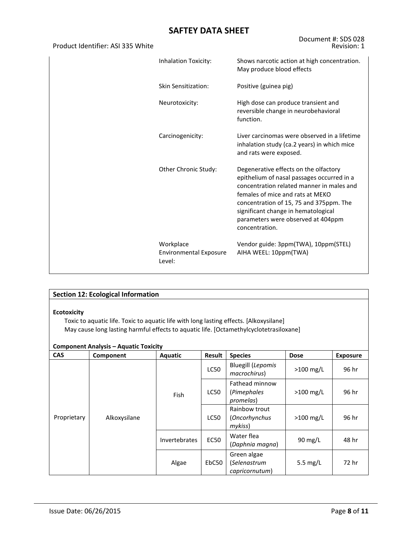| Product Identifier: ASI 335 White |                                                      | Revision: 1                                                                                                                                                                                                                                                                                                    |
|-----------------------------------|------------------------------------------------------|----------------------------------------------------------------------------------------------------------------------------------------------------------------------------------------------------------------------------------------------------------------------------------------------------------------|
|                                   | Inhalation Toxicity:                                 | Shows narcotic action at high concentration.<br>May produce blood effects                                                                                                                                                                                                                                      |
|                                   | Skin Sensitization:                                  | Positive (guinea pig)                                                                                                                                                                                                                                                                                          |
|                                   | Neurotoxicity:                                       | High dose can produce transient and<br>reversible change in neurobehavioral<br>function.                                                                                                                                                                                                                       |
|                                   | Carcinogenicity:                                     | Liver carcinomas were observed in a lifetime<br>inhalation study (ca.2 years) in which mice<br>and rats were exposed.                                                                                                                                                                                          |
|                                   | Other Chronic Study:                                 | Degenerative effects on the olfactory<br>epithelium of nasal passages occurred in a<br>concentration related manner in males and<br>females of mice and rats at MEKO<br>concentration of 15, 75 and 375ppm. The<br>significant change in hematological<br>parameters were observed at 404ppm<br>concentration. |
|                                   | Workplace<br><b>Environmental Exposure</b><br>Level: | Vendor guide: 3ppm(TWA), 10ppm(STEL)<br>AIHA WEEL: 10ppm(TWA)                                                                                                                                                                                                                                                  |

| <b>Section 12: Ecological Information</b>                                                                                                                                                                                                              |              |               |               |                                               |                   |                 |  |  |  |
|--------------------------------------------------------------------------------------------------------------------------------------------------------------------------------------------------------------------------------------------------------|--------------|---------------|---------------|-----------------------------------------------|-------------------|-----------------|--|--|--|
| <b>Ecotoxicity</b><br>Toxic to aquatic life. Toxic to aquatic life with long lasting effects. [Alkoxysilane]<br>May cause long lasting harmful effects to aquatic life. [Octamethylcyclotetrasiloxane]<br><b>Component Analysis – Aquatic Toxicity</b> |              |               |               |                                               |                   |                 |  |  |  |
| <b>CAS</b>                                                                                                                                                                                                                                             | Component    | Aquatic       | <b>Result</b> | <b>Species</b>                                | <b>Dose</b>       | <b>Exposure</b> |  |  |  |
|                                                                                                                                                                                                                                                        |              | Fish          | <b>LC50</b>   | <b>Bluegill (Lepomis</b><br>macrochirus)      | $>100$ mg/L       | 96 hr           |  |  |  |
|                                                                                                                                                                                                                                                        |              |               | <b>LC50</b>   | Fathead minnow<br>(Pimephales<br>promelas)    | $>100$ mg/L       | 96 hr           |  |  |  |
| Proprietary                                                                                                                                                                                                                                            | Alkoxysilane |               | LC50          | Rainbow trout<br>(Oncorhynchus<br>mykiss)     | $>100$ mg/L       | 96 hr           |  |  |  |
|                                                                                                                                                                                                                                                        |              | Invertebrates | <b>EC50</b>   | Water flea<br>(Daphnia magna)                 | $90 \text{ mg/L}$ | 48 hr           |  |  |  |
|                                                                                                                                                                                                                                                        |              | Algae         | EbC50         | Green algae<br>(Selenastrum<br>capricornutum) | 5.5 mg/L          | 72 hr           |  |  |  |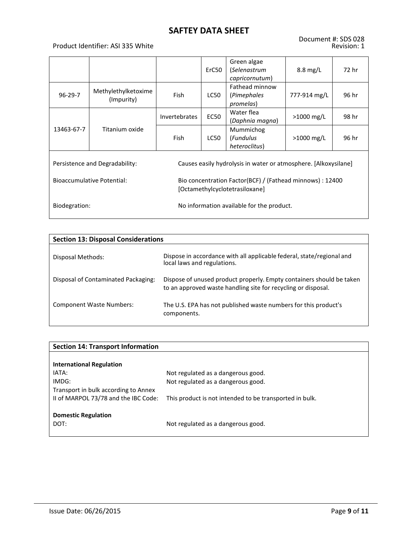### Product Identifier: ASI 335 White

|                                   |                                   |                                                                                             | ErC50       | Green algae<br>(Selenastrum<br>capricornutum)                   | $8.8 \text{ mg/L}$ | 72 hr |
|-----------------------------------|-----------------------------------|---------------------------------------------------------------------------------------------|-------------|-----------------------------------------------------------------|--------------------|-------|
| $96 - 29 - 7$                     | Methylethylketoxime<br>(Impurity) |                                                                                             | LC50        | Fathead minnow<br>(Pimephales<br>promelas)                      | 777-914 mg/L       | 96 hr |
|                                   |                                   | <b>Invertebrates</b>                                                                        | <b>EC50</b> | Water flea<br>(Daphnia magna)                                   | $>1000$ mg/L       | 98 hr |
| 13463-67-7                        | Titanium oxide                    | <b>Fish</b>                                                                                 | LC50        | Mummichog<br>(Fundulus<br>heteroclitus)                         | $>1000$ mg/L       | 96 hr |
| Persistence and Degradability:    |                                   |                                                                                             |             | Causes easily hydrolysis in water or atmosphere. [Alkoxysilane] |                    |       |
| <b>Bioaccumulative Potential:</b> |                                   | Bio concentration Factor(BCF) / (Fathead minnows) : 12400<br>[Octamethylcyclotetrasiloxane] |             |                                                                 |                    |       |
| Biodegration:                     |                                   | No information available for the product.                                                   |             |                                                                 |                    |       |

| <b>Section 13: Disposal Considerations</b> |                                                                                                                                       |  |  |  |  |  |  |  |
|--------------------------------------------|---------------------------------------------------------------------------------------------------------------------------------------|--|--|--|--|--|--|--|
| Disposal Methods:                          | Dispose in accordance with all applicable federal, state/regional and<br>local laws and regulations.                                  |  |  |  |  |  |  |  |
| Disposal of Contaminated Packaging:        | Dispose of unused product properly. Empty containers should be taken<br>to an approved waste handling site for recycling or disposal. |  |  |  |  |  |  |  |
| <b>Component Waste Numbers:</b>            | The U.S. EPA has not published waste numbers for this product's<br>components.                                                        |  |  |  |  |  |  |  |

| <b>Section 14: Transport Information</b> |                                                         |  |  |  |  |  |
|------------------------------------------|---------------------------------------------------------|--|--|--|--|--|
|                                          |                                                         |  |  |  |  |  |
| <b>International Regulation</b>          |                                                         |  |  |  |  |  |
| IATA:                                    | Not regulated as a dangerous good.                      |  |  |  |  |  |
| IMDG:                                    | Not regulated as a dangerous good.                      |  |  |  |  |  |
| Transport in bulk according to Annex     |                                                         |  |  |  |  |  |
| II of MARPOL 73/78 and the IBC Code:     | This product is not intended to be transported in bulk. |  |  |  |  |  |
|                                          |                                                         |  |  |  |  |  |
| <b>Domestic Regulation</b>               |                                                         |  |  |  |  |  |
| DOT:                                     | Not regulated as a dangerous good.                      |  |  |  |  |  |
|                                          |                                                         |  |  |  |  |  |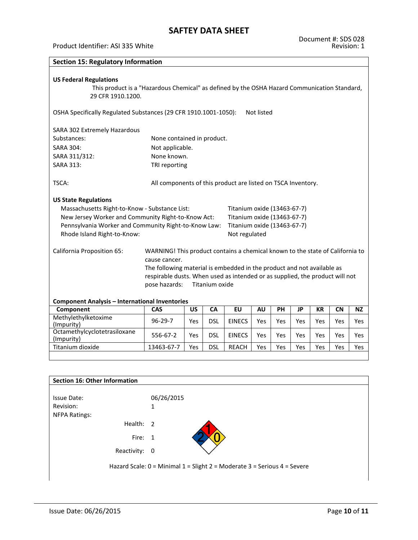#### Product Identifier: ASI 335 White

| <b>Section 15: Regulatory Information</b>                                                                                                                                                                                 |                                                                                                                                                                                                                                                                           |            |                |                                                                                                            |            |            |            |           |                          |           |
|---------------------------------------------------------------------------------------------------------------------------------------------------------------------------------------------------------------------------|---------------------------------------------------------------------------------------------------------------------------------------------------------------------------------------------------------------------------------------------------------------------------|------------|----------------|------------------------------------------------------------------------------------------------------------|------------|------------|------------|-----------|--------------------------|-----------|
| <b>US Federal Regulations</b><br>This product is a "Hazardous Chemical" as defined by the OSHA Hazard Communication Standard,<br>29 CFR 1910.1200.                                                                        |                                                                                                                                                                                                                                                                           |            |                |                                                                                                            |            |            |            |           |                          |           |
| OSHA Specifically Regulated Substances (29 CFR 1910.1001-1050):                                                                                                                                                           |                                                                                                                                                                                                                                                                           |            |                |                                                                                                            | Not listed |            |            |           |                          |           |
| SARA 302 Extremely Hazardous                                                                                                                                                                                              |                                                                                                                                                                                                                                                                           |            |                |                                                                                                            |            |            |            |           |                          |           |
| Substances:                                                                                                                                                                                                               | None contained in product.                                                                                                                                                                                                                                                |            |                |                                                                                                            |            |            |            |           |                          |           |
| <b>SARA 304:</b>                                                                                                                                                                                                          | Not applicable.                                                                                                                                                                                                                                                           |            |                |                                                                                                            |            |            |            |           |                          |           |
| SARA 311/312:                                                                                                                                                                                                             | None known.                                                                                                                                                                                                                                                               |            |                |                                                                                                            |            |            |            |           |                          |           |
| <b>SARA 313:</b>                                                                                                                                                                                                          | TRI reporting                                                                                                                                                                                                                                                             |            |                |                                                                                                            |            |            |            |           |                          |           |
| TSCA:                                                                                                                                                                                                                     | All components of this product are listed on TSCA Inventory.                                                                                                                                                                                                              |            |                |                                                                                                            |            |            |            |           |                          |           |
| <b>US State Regulations</b><br>Massachusetts Right-to-Know - Substance List:<br>New Jersey Worker and Community Right-to-Know Act:<br>Pennsylvania Worker and Community Right-to-Know Law:<br>Rhode Island Right-to-Know: |                                                                                                                                                                                                                                                                           |            |                | Titanium oxide (13463-67-7)<br>Titanium oxide (13463-67-7)<br>Titanium oxide (13463-67-7)<br>Not regulated |            |            |            |           |                          |           |
| <b>California Proposition 65:</b><br><b>Component Analysis - International Inventories</b>                                                                                                                                | WARNING! This product contains a chemical known to the state of California to<br>cause cancer.<br>The following material is embedded in the product and not available as<br>respirable dusts. When used as intended or as supplied, the product will not<br>pose hazards: |            | Titanium oxide |                                                                                                            |            |            |            |           |                          |           |
| Component                                                                                                                                                                                                                 | CAS                                                                                                                                                                                                                                                                       | <b>US</b>  | CA             | EU                                                                                                         | <b>AU</b>  | PH         | <b>JP</b>  | <b>KR</b> | $\overline{\mathsf{CN}}$ | <b>NZ</b> |
| Methylethylketoxime                                                                                                                                                                                                       | $96 - 29 - 7$                                                                                                                                                                                                                                                             | <b>Yes</b> | <b>DSL</b>     | <b>EINECS</b>                                                                                              | <b>Yes</b> | <b>Yes</b> | Yes        | Yes       | Yes                      | Yes       |
| (Impurity)<br>Octamethylcyclotetrasiloxane<br>(Impurity)                                                                                                                                                                  | 556-67-2                                                                                                                                                                                                                                                                  | Yes        | <b>DSL</b>     | <b>EINECS</b>                                                                                              | Yes        | Yes        | Yes        | Yes       | Yes                      | Yes       |
| Titanium dioxide                                                                                                                                                                                                          | 13463-67-7                                                                                                                                                                                                                                                                | Yes        | <b>DSL</b>     | <b>REACH</b>                                                                                               | Yes        | <b>Yes</b> | <b>Yes</b> | Yes       | Yes                      | Yes       |

| Section 16: Other Information |                                                                          |
|-------------------------------|--------------------------------------------------------------------------|
| <b>Issue Date:</b>            | 06/26/2015                                                               |
| Revision:                     | 1                                                                        |
| <b>NFPA Ratings:</b>          |                                                                          |
| Health: 2                     |                                                                          |
| Fire: 1                       |                                                                          |
| Reactivity: 0                 |                                                                          |
|                               | Hazard Scale: 0 = Minimal 1 = Slight 2 = Moderate 3 = Serious 4 = Severe |